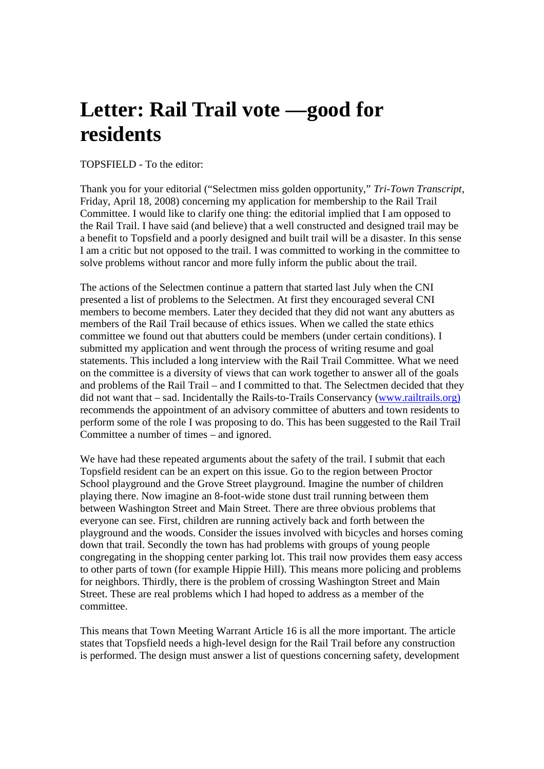## **Letter: Rail Trail vote —good for residents**

## TOPSFIELD - To the editor:

Thank you for your editorial ("Selectmen miss golden opportunity," *Tri-Town Transcript*, Friday, April 18, 2008) concerning my application for membership to the Rail Trail Committee. I would like to clarify one thing: the editorial implied that I am opposed to the Rail Trail. I have said (and believe) that a well constructed and designed trail may be a benefit to Topsfield and a poorly designed and built trail will be a disaster. In this sense I am a critic but not opposed to the trail. I was committed to working in the committee to solve problems without rancor and more fully inform the public about the trail.

The actions of the Selectmen continue a pattern that started last July when the CNI presented a list of problems to the Selectmen. At first they encouraged several CNI members to become members. Later they decided that they did not want any abutters as members of the Rail Trail because of ethics issues. When we called the state ethics committee we found out that abutters could be members (under certain conditions). I submitted my application and went through the process of writing resume and goal statements. This included a long interview with the Rail Trail Committee. What we need on the committee is a diversity of views that can work together to answer all of the goals and problems of the Rail Trail – and I committed to that. The Selectmen decided that they did not want that – sad. Incidentally the Rails-to-Trails Conservancy (www.railtrails.org) recommends the appointment of an advisory committee of abutters and town residents to perform some of the role I was proposing to do. This has been suggested to the Rail Trail Committee a number of times – and ignored.

We have had these repeated arguments about the safety of the trail. I submit that each Topsfield resident can be an expert on this issue. Go to the region between Proctor School playground and the Grove Street playground. Imagine the number of children playing there. Now imagine an 8-foot-wide stone dust trail running between them between Washington Street and Main Street. There are three obvious problems that everyone can see. First, children are running actively back and forth between the playground and the woods. Consider the issues involved with bicycles and horses coming down that trail. Secondly the town has had problems with groups of young people congregating in the shopping center parking lot. This trail now provides them easy access to other parts of town (for example Hippie Hill). This means more policing and problems for neighbors. Thirdly, there is the problem of crossing Washington Street and Main Street. These are real problems which I had hoped to address as a member of the committee.

This means that Town Meeting Warrant Article 16 is all the more important. The article states that Topsfield needs a high-level design for the Rail Trail before any construction is performed. The design must answer a list of questions concerning safety, development